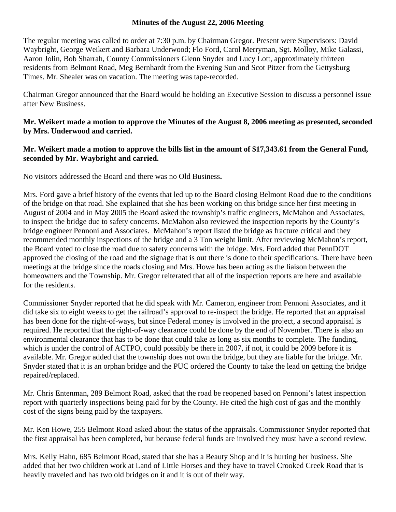#### **Minutes of the August 22, 2006 Meeting**

The regular meeting was called to order at 7:30 p.m. by Chairman Gregor. Present were Supervisors: David Waybright, George Weikert and Barbara Underwood; Flo Ford, Carol Merryman, Sgt. Molloy, Mike Galassi, Aaron Jolin, Bob Sharrah, County Commissioners Glenn Snyder and Lucy Lott, approximately thirteen residents from Belmont Road, Meg Bernhardt from the Evening Sun and Scot Pitzer from the Gettysburg Times. Mr. Shealer was on vacation. The meeting was tape-recorded.

Chairman Gregor announced that the Board would be holding an Executive Session to discuss a personnel issue after New Business.

### **Mr. Weikert made a motion to approve the Minutes of the August 8, 2006 meeting as presented, seconded by Mrs. Underwood and carried.**

### **Mr. Weikert made a motion to approve the bills list in the amount of \$17,343.61 from the General Fund, seconded by Mr. Waybright and carried.**

No visitors addressed the Board and there was no Old Business**.** 

Mrs. Ford gave a brief history of the events that led up to the Board closing Belmont Road due to the conditions of the bridge on that road. She explained that she has been working on this bridge since her first meeting in August of 2004 and in May 2005 the Board asked the township's traffic engineers, McMahon and Associates, to inspect the bridge due to safety concerns. McMahon also reviewed the inspection reports by the County's bridge engineer Pennoni and Associates. McMahon's report listed the bridge as fracture critical and they recommended monthly inspections of the bridge and a 3 Ton weight limit. After reviewing McMahon's report, the Board voted to close the road due to safety concerns with the bridge. Mrs. Ford added that PennDOT approved the closing of the road and the signage that is out there is done to their specifications. There have been meetings at the bridge since the roads closing and Mrs. Howe has been acting as the liaison between the homeowners and the Township. Mr. Gregor reiterated that all of the inspection reports are here and available for the residents.

Commissioner Snyder reported that he did speak with Mr. Cameron, engineer from Pennoni Associates, and it did take six to eight weeks to get the railroad's approval to re-inspect the bridge. He reported that an appraisal has been done for the right-of-ways, but since Federal money is involved in the project, a second appraisal is required. He reported that the right-of-way clearance could be done by the end of November. There is also an environmental clearance that has to be done that could take as long as six months to complete. The funding, which is under the control of ACTPO, could possibly be there in 2007, if not, it could be 2009 before it is available. Mr. Gregor added that the township does not own the bridge, but they are liable for the bridge. Mr. Snyder stated that it is an orphan bridge and the PUC ordered the County to take the lead on getting the bridge repaired/replaced.

Mr. Chris Entenman, 289 Belmont Road, asked that the road be reopened based on Pennoni's latest inspection report with quarterly inspections being paid for by the County. He cited the high cost of gas and the monthly cost of the signs being paid by the taxpayers.

Mr. Ken Howe, 255 Belmont Road asked about the status of the appraisals. Commissioner Snyder reported that the first appraisal has been completed, but because federal funds are involved they must have a second review.

Mrs. Kelly Hahn, 685 Belmont Road, stated that she has a Beauty Shop and it is hurting her business. She added that her two children work at Land of Little Horses and they have to travel Crooked Creek Road that is heavily traveled and has two old bridges on it and it is out of their way.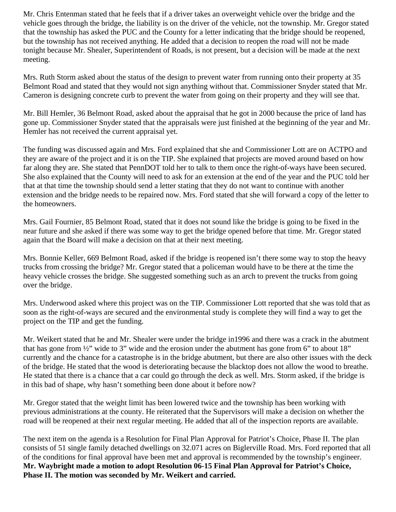Mr. Chris Entenman stated that he feels that if a driver takes an overweight vehicle over the bridge and the vehicle goes through the bridge, the liability is on the driver of the vehicle, not the township. Mr. Gregor stated that the township has asked the PUC and the County for a letter indicating that the bridge should be reopened, but the township has not received anything. He added that a decision to reopen the road will not be made tonight because Mr. Shealer, Superintendent of Roads, is not present, but a decision will be made at the next meeting.

Mrs. Ruth Storm asked about the status of the design to prevent water from running onto their property at 35 Belmont Road and stated that they would not sign anything without that. Commissioner Snyder stated that Mr. Cameron is designing concrete curb to prevent the water from going on their property and they will see that.

Mr. Bill Hemler, 36 Belmont Road, asked about the appraisal that he got in 2000 because the price of land has gone up. Commissioner Snyder stated that the appraisals were just finished at the beginning of the year and Mr. Hemler has not received the current appraisal yet.

The funding was discussed again and Mrs. Ford explained that she and Commissioner Lott are on ACTPO and they are aware of the project and it is on the TIP. She explained that projects are moved around based on how far along they are. She stated that PennDOT told her to talk to them once the right-of-ways have been secured. She also explained that the County will need to ask for an extension at the end of the year and the PUC told her that at that time the township should send a letter stating that they do not want to continue with another extension and the bridge needs to be repaired now. Mrs. Ford stated that she will forward a copy of the letter to the homeowners.

Mrs. Gail Fournier, 85 Belmont Road, stated that it does not sound like the bridge is going to be fixed in the near future and she asked if there was some way to get the bridge opened before that time. Mr. Gregor stated again that the Board will make a decision on that at their next meeting.

Mrs. Bonnie Keller, 669 Belmont Road, asked if the bridge is reopened isn't there some way to stop the heavy trucks from crossing the bridge? Mr. Gregor stated that a policeman would have to be there at the time the heavy vehicle crosses the bridge. She suggested something such as an arch to prevent the trucks from going over the bridge.

Mrs. Underwood asked where this project was on the TIP. Commissioner Lott reported that she was told that as soon as the right-of-ways are secured and the environmental study is complete they will find a way to get the project on the TIP and get the funding.

Mr. Weikert stated that he and Mr. Shealer were under the bridge in1996 and there was a crack in the abutment that has gone from ½" wide to 3" wide and the erosion under the abutment has gone from 6" to about 18" currently and the chance for a catastrophe is in the bridge abutment, but there are also other issues with the deck of the bridge. He stated that the wood is deteriorating because the blacktop does not allow the wood to breathe. He stated that there is a chance that a car could go through the deck as well. Mrs. Storm asked, if the bridge is in this bad of shape, why hasn't something been done about it before now?

Mr. Gregor stated that the weight limit has been lowered twice and the township has been working with previous administrations at the county. He reiterated that the Supervisors will make a decision on whether the road will be reopened at their next regular meeting. He added that all of the inspection reports are available.

The next item on the agenda is a Resolution for Final Plan Approval for Patriot's Choice, Phase II. The plan consists of 51 single family detached dwellings on 32.071 acres on Biglerville Road. Mrs. Ford reported that all of the conditions for final approval have been met and approval is recommended by the township's engineer. **Mr. Waybright made a motion to adopt Resolution 06-15 Final Plan Approval for Patriot's Choice, Phase II. The motion was seconded by Mr. Weikert and carried.**